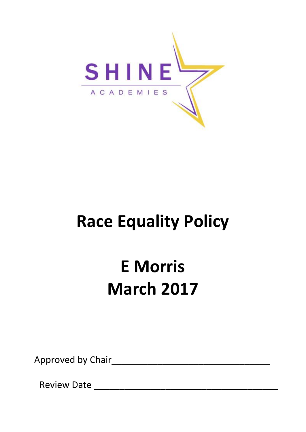

# **Race Equality Policy**

# **E Morris March 2017**

Approved by Chair

Review Date \_\_\_\_\_\_\_\_\_\_\_\_\_\_\_\_\_\_\_\_\_\_\_\_\_\_\_\_\_\_\_\_\_\_\_\_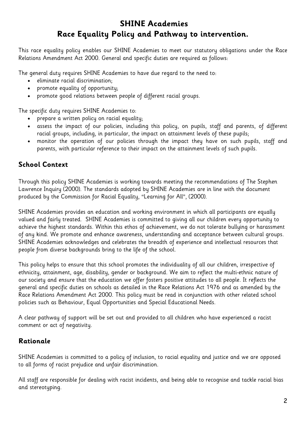# **SHINE Academies Race Equality Policy and Pathway to intervention.**

This race equality policy enables our SHINE Academies to meet our statutory obligations under the Race Relations Amendment Act 2000. General and specific duties are required as follows:

The general duty requires SHINE Academies to have due regard to the need to:

- eliminate racial discrimination;
- promote equality of opportunity;
- promote good relations between people of different racial groups.

The specific duty requires SHINE Academies to:

- prepare a written policy on racial equality;
- assess the impact of our policies, including this policy, on pupils, staff and parents, of different racial groups, including, in particular, the impact on attainment levels of these pupils;
- monitor the operation of our policies through the impact they have on such pupils, staff and parents, with particular reference to their impact on the attainment levels of such pupils.

# **School Context**

Through this policy SHINE Academies is working towards meeting the recommendations of The Stephen Lawrence Inquiry (2000). The standards adopted by SHINE Academies are in line with the document produced by the Commission for Racial Equality, "Learning for All", (2000).

SHINE Academies provides an education and working environment in which all participants are equally valued and fairly treated. SHINE Academies is committed to giving all our children every opportunity to achieve the highest standards. Within this ethos of achievement, we do not tolerate bullying or harassment of any kind. We promote and enhance awareness, understanding and acceptance between cultural groups. SHINE Academies acknowledges and celebrates the breadth of experience and intellectual resources that people from diverse backgrounds bring to the life of the school.

This policy helps to ensure that this school promotes the individuality of all our children, irrespective of ethnicity, attainment, age, disability, gender or background. We aim to reflect the multi-ethnic nature of our society and ensure that the education we offer fosters positive attitudes to all people. It reflects the general and specific duties on schools as detailed in the Race Relations Act 1976 and as amended by the Race Relations Amendment Act 2000. This policy must be read in conjunction with other related school policies such as Behaviour, Equal Opportunities and Special Educational Needs.

A clear pathway of support will be set out and provided to all children who have experienced a racist comment or act of negativity.

# **Rationale**

SHINE Academies is committed to a policy of inclusion, to racial equality and justice and we are opposed to all forms of racist prejudice and unfair discrimination.

All staff are responsible for dealing with racist incidents, and being able to recognise and tackle racial bias and stereotyping.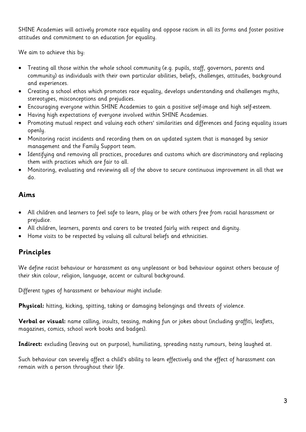SHINE Academies will actively promote race equality and oppose racism in all its forms and foster positive attitudes and commitment to an education for equality.

We aim to achieve this by:

- Treating all those within the whole school community (e.g. pupils, staff, governors, parents and community) as individuals with their own particular abilities, beliefs, challenges, attitudes, background and experiences.
- Creating a school ethos which promotes race equality, develops understanding and challenges myths, stereotypes, misconceptions and prejudices.
- Encouraging everyone within SHINE Academies to gain a positive self-image and high self-esteem.
- Having high expectations of everyone involved within SHINE Academies.
- Promoting mutual respect and valuing each others' similarities and differences and facing equality issues openly.
- Monitoring racist incidents and recording them on an updated system that is managed by senior management and the Family Support team.
- Identifying and removing all practices, procedures and customs which are discriminatory and replacing them with practices which are fair to all.
- Monitoring, evaluating and reviewing all of the above to secure continuous improvement in all that we do.

# **Aims**

- All children and learners to feel safe to learn, play or be with others free from racial harassment or prejudice.
- All children, learners, parents and carers to be treated fairly with respect and dignity.
- Home visits to be respected by valuing all cultural beliefs and ethnicities.

# **Principles**

We define racist behaviour or harassment as any unpleasant or bad behaviour against others because of their skin colour, religion, language, accent or cultural background.

Different types of harassment or behaviour might include:

**Physical:** hitting, kicking, spitting, taking or damaging belongings and threats of violence.

**Verbal or visual:** name calling, insults, teasing, making fun or jokes about (including graffiti, leaflets, magazines, comics, school work books and badges).

**Indirect:** excluding (leaving out on purpose), humiliating, spreading nasty rumours, being laughed at.

Such behaviour can severely affect a child's ability to learn effectively and the effect of harassment can remain with a person throughout their life.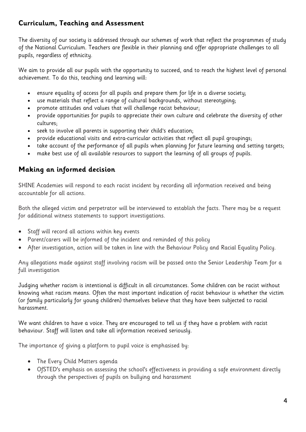# **Curriculum, Teaching and Assessment**

The diversity of our society is addressed through our schemes of work that reflect the programmes of study of the National Curriculum. Teachers are flexible in their planning and offer appropriate challenges to all pupils, regardless of ethnicity.

We aim to provide all our pupils with the opportunity to succeed, and to reach the highest level of personal achievement. To do this, teaching and learning will:

- ensure equality of access for all pupils and prepare them for life in a diverse society;
- use materials that reflect a range of cultural backgrounds, without stereotyping;
- promote attitudes and values that will challenge racist behaviour;
- provide opportunities for pupils to appreciate their own culture and celebrate the diversity of other cultures;
- seek to involve all parents in supporting their child's education;
- provide educational visits and extra-curricular activities that reflect all pupil groupings;
- take account of the performance of all pupils when planning for future learning and setting targets;
- make best use of all available resources to support the learning of all groups of pupils.

# **Making an informed decision**

SHINE Academies will respond to each racist incident by recording all information received and being accountable for all actions.

Both the alleged victim and perpetrator will be interviewed to establish the facts. There may be a request for additional witness statements to support investigations.

- Staff will record all actions within key events
- Parent/carers will be informed of the incident and reminded of this policy
- After investigation, action will be taken in line with the Behaviour Policy and Racial Equality Policy.

Any allegations made against staff involving racism will be passed onto the Senior Leadership Team for a full investigation

Judging whether racism is intentional is difficult in all circumstances. Some children can be racist without knowing what racism means. Often the most important indication of racist behaviour is whether the victim (or family particularly for young children) themselves believe that they have been subjected to racial harassment.

We want children to have a voice. They are encouraged to tell us if they have a problem with racist behaviour. Staff will listen and take all information received seriously.

The importance of giving a platform to pupil voice is emphasised by:

- The Every Child Matters agenda
- OfSTED's emphasis on assessing the school's effectiveness in providing a safe environment directly through the perspectives of pupils on bullying and harassment